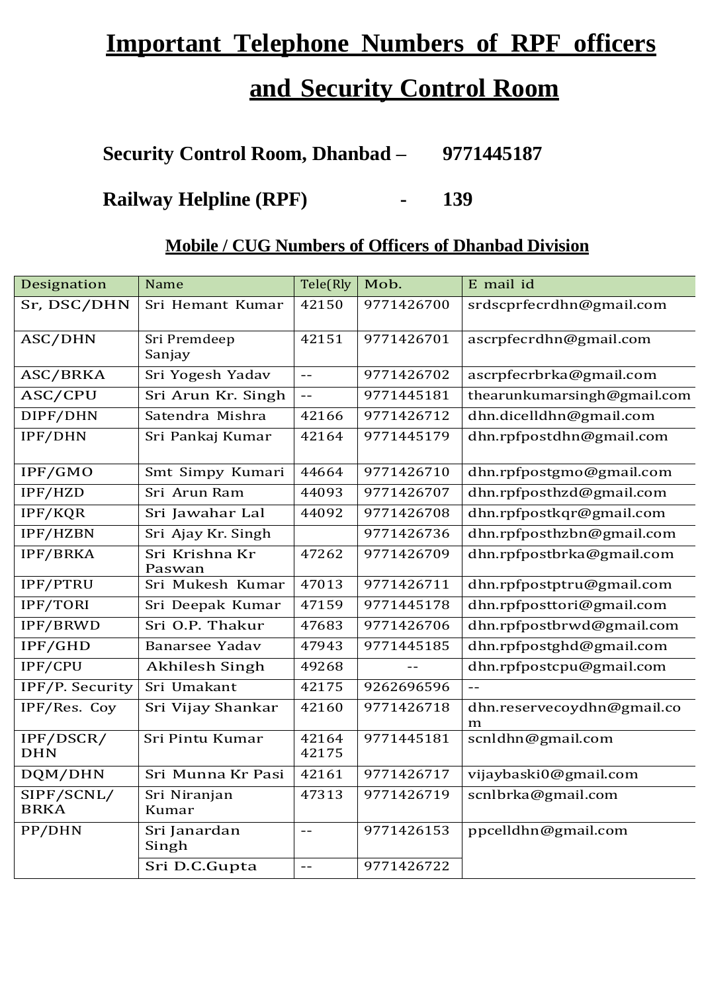# **Important Telephone Numbers of RPF officers**

# **and Security Control Room**

**Security Control Room, Dhanbad – 9771445187**

**Railway Helpline (RPF) - 139**

### **Mobile / CUG Numbers of Officers of Dhanbad Division**

| Designation               | Name                     | Tele(Rly          | Mob.       | E mail id                       |
|---------------------------|--------------------------|-------------------|------------|---------------------------------|
| Sr, DSC/DHN               | Sri Hemant Kumar         | 42150             | 9771426700 | srdscprfecrdhn@gmail.com        |
| ASC/DHN                   | Sri Premdeep<br>Sanjay   | 42151             | 9771426701 | ascrpfecrdhn@gmail.com          |
| ASC/BRKA                  | Sri Yogesh Yadav         | $\equiv$ $\equiv$ | 9771426702 | ascrpfecrbrka@gmail.com         |
| ASC/CPU                   | Sri Arun Kr. Singh       | $- -$             | 9771445181 | thearunkumarsingh@gmail.com     |
| DIPF/DHN                  | Satendra Mishra          | 42166             | 9771426712 | dhn.dicelldhn@gmail.com         |
| IPF/DHN                   | Sri Pankaj Kumar         | 42164             | 9771445179 | dhn.rpfpostdhn@gmail.com        |
| IPF/GMO                   | Smt Simpy Kumari         | 44664             | 9771426710 | dhn.rpfpostgmo@gmail.com        |
| IPF/HZD                   | Sri Arun Ram             | 44093             | 9771426707 | dhn.rpfposthzd@gmail.com        |
| IPF/KQR                   | Sri Jawahar Lal          | 44092             | 9771426708 | dhn.rpfpostkqr@gmail.com        |
| IPF/HZBN                  | Sri Ajay Kr. Singh       |                   | 9771426736 | dhn.rpfposthzbn@gmail.com       |
| <b>IPF/BRKA</b>           | Sri Krishna Kr<br>Paswan | 47262             | 9771426709 | dhn.rpfpostbrka@gmail.com       |
| IPF/PTRU                  | Sri Mukesh Kumar         | 47013             | 9771426711 | dhn.rpfpostptru@gmail.com       |
| IPF/TORI                  | Sri Deepak Kumar         | 47159             | 9771445178 | dhn.rpfposttori@gmail.com       |
| IPF/BRWD                  | Sri O.P. Thakur          | 47683             | 9771426706 | dhn.rpfpostbrwd@gmail.com       |
| IPF/GHD                   | <b>Banarsee Yadav</b>    | 47943             | 9771445185 | dhn.rpfpostghd@gmail.com        |
| IPF/CPU                   | <b>Akhilesh Singh</b>    | 49268             |            | dhn.rpfpostcpu@gmail.com        |
| IPF/P. Security           | Sri Umakant              | 42175             | 9262696596 | $-$                             |
| IPF/Res. Coy              | Sri Vijay Shankar        | 42160             | 9771426718 | dhn.reservecoydhn@gmail.co<br>m |
| IPF/DSCR/<br><b>DHN</b>   | Sri Pintu Kumar          | 42164<br>42175    | 9771445181 | scnldhn@gmail.com               |
| DQM/DHN                   | Sri Munna Kr Pasi        | 42161             | 9771426717 | vijaybaski0@gmail.com           |
| SIPF/SCNL/<br><b>BRKA</b> | Sri Niranjan<br>Kumar    | 47313             | 9771426719 | scnlbrka@gmail.com              |
| PP/DHN                    | Sri Janardan<br>Singh    | $ -$              | 9771426153 | ppcelldhn@gmail.com             |
|                           | Sri D.C.Gupta            | $\equiv$ $\equiv$ | 9771426722 |                                 |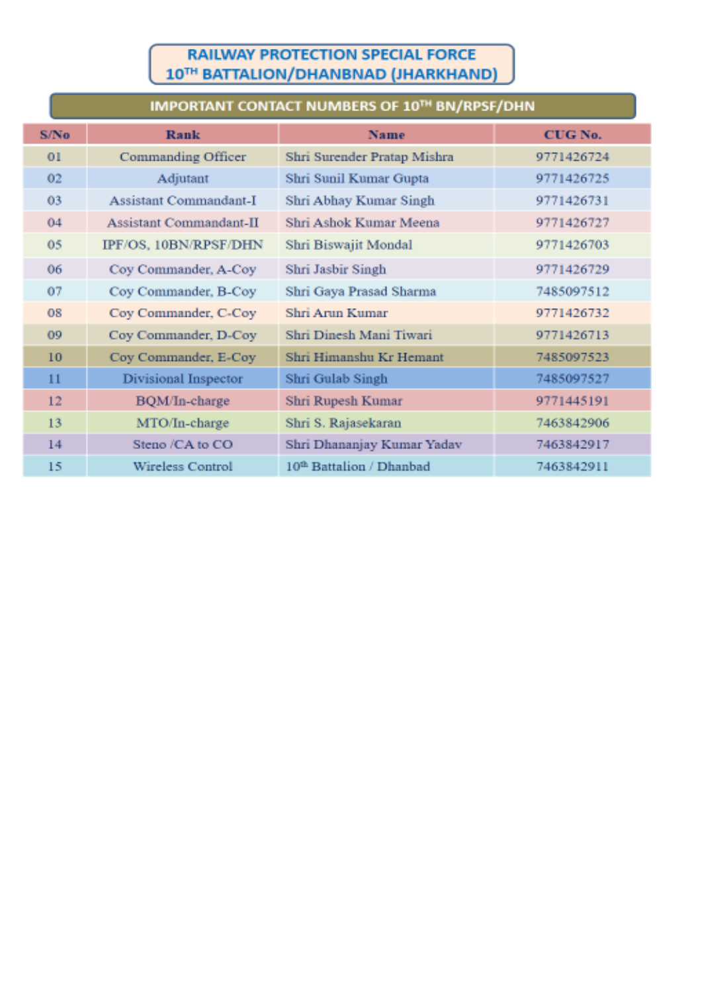#### **RAILWAY PROTECTION SPECIAL FORCE** 10TH BATTALION/DHANBNAD (JHARKHAND)

## IMPORTANT CONTACT NUMBERS OF 10TH BN/RPSF/DHN

| S/No.           | <b>Rank</b>             | <b>Name</b>                          | CUG No.    |
|-----------------|-------------------------|--------------------------------------|------------|
| 01              | Commanding Officer      | Shri Surender Pratap Mishra          | 9771426724 |
| 02 <sub>1</sub> | Adjutant                | Shri Sunil Kumar Gupta               | 9771426725 |
| 03              | Assistant Commandant-I  | Shri Abhay Kumar Singh               | 9771426731 |
| 04              | Assistant Commandant-II | Shri Ashok Kumar Meena               | 9771426727 |
| 05              | IPF/OS, 10BN/RPSF/DHN   | Shri Biswajit Mondal                 | 9771426703 |
| 06              | Coy Commander, A-Coy    | Shri Jasbir Singh                    | 9771426729 |
| 07              | Coy Commander, B-Coy    | Shri Gaya Prasad Sharma              | 7485097512 |
| 08              | Coy Commander, C-Coy    | Shri Arun Kumar                      | 9771426732 |
| 09              | Coy Commander, D-Coy    | Shri Dinesh Mani Tiwari              | 9771426713 |
| 10              | Coy Commander, E-Coy    | Shri Himanshu Kr Hemant              | 7485097523 |
| 11              | Divisional Inspector    | Shri Gulab Singh                     | 7485097527 |
| 12              | BQM/In-charge           | Shri Rupesh Kumar                    | 9771445191 |
| 13              | MTO/In-charge           | Shri S. Rajasekaran                  | 7463842906 |
| 14              | Steno /CA to CO         | Shri Dhananjay Kumar Yadav           | 7463842917 |
| 15              | Wireless Control        | 10 <sup>th</sup> Battalion / Dhanbad | 7463842911 |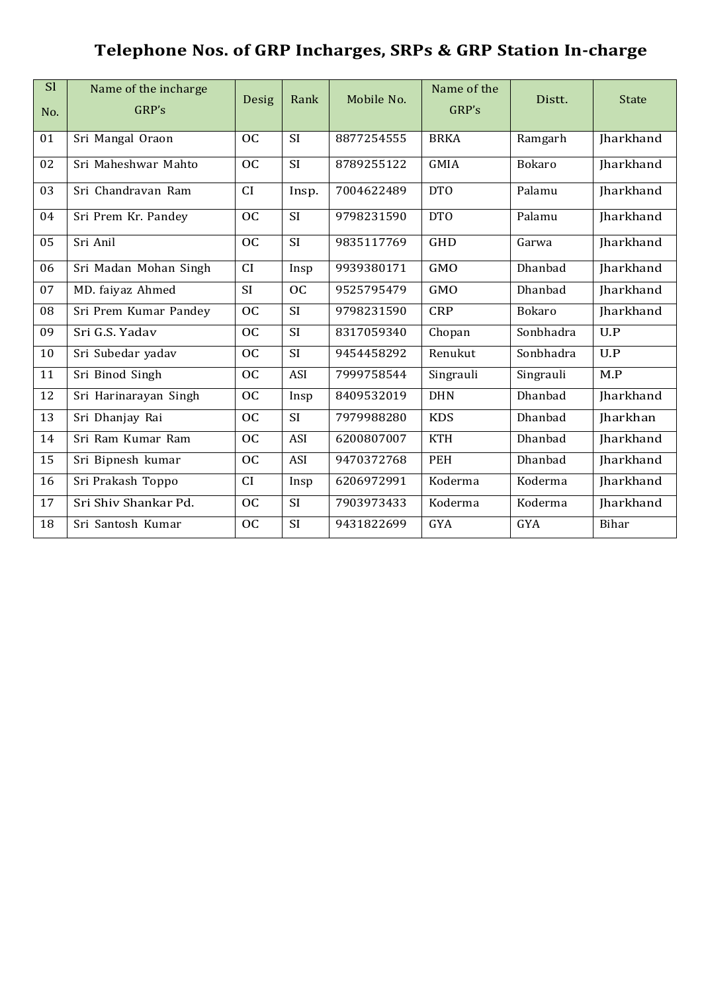## **Telephone Nos. of GRP Incharges, SRPs & GRP Station In-charge**

| S <sub>l</sub><br>No. | Name of the incharge<br>GRP's | Desig           | Rank      | Mobile No. | Name of the<br>GRP's | Distt.         | <b>State</b>     |
|-----------------------|-------------------------------|-----------------|-----------|------------|----------------------|----------------|------------------|
| 01                    | Sri Mangal Oraon              | <b>OC</b>       | <b>SI</b> | 8877254555 | <b>BRKA</b>          | Ramgarh        | Jharkhand        |
| 02                    | Sri Maheshwar Mahto           | <b>OC</b>       | SI        | 8789255122 | <b>GMIA</b>          | <b>Bokaro</b>  | Jharkhand        |
| 03                    | Sri Chandravan Ram            | CI              | Insp.     | 7004622489 | DTO                  | Palamu         | <b>Iharkhand</b> |
| 04                    | Sri Prem Kr. Pandey           | <b>OC</b>       | <b>SI</b> | 9798231590 | DTO                  | Palamu         | <b>Iharkhand</b> |
| 05                    | Sri Anil                      | <b>OC</b>       | <b>SI</b> | 9835117769 | <b>GHD</b>           | Garwa          | <b>Iharkhand</b> |
| 06                    | Sri Madan Mohan Singh         | CI              | Insp      | 9939380171 | <b>GMO</b>           | Dhanbad        | <b>Iharkhand</b> |
| 07                    | MD. faiyaz Ahmed              | <b>SI</b>       | OC        | 9525795479 | GMO                  | Dhanbad        | <b>Iharkhand</b> |
| 08                    | Sri Prem Kumar Pandey         | <b>OC</b>       | <b>SI</b> | 9798231590 | <b>CRP</b>           | <b>Bokaro</b>  | Jharkhand        |
| 09                    | Sri G.S. Yadav                | <b>OC</b>       | SI        | 8317059340 | Chopan               | Sonbhadra      | U.P              |
| 10                    | Sri Subedar yadav             | <b>OC</b>       | SI        | 9454458292 | Renukut              | Sonbhadra      | U.P              |
| 11                    | Sri Binod Singh               | <b>OC</b>       | ASI       | 7999758544 | Singrauli            | Singrauli      | M.P              |
| 12                    | Sri Harinarayan Singh         | <b>OC</b>       | Insp      | 8409532019 | <b>DHN</b>           | Dhanbad        | Jharkhand        |
| 13                    | Sri Dhanjay Rai               | <b>OC</b>       | <b>SI</b> | 7979988280 | <b>KDS</b>           | Dhanbad        | <b>Iharkhan</b>  |
| 14                    | Sri Ram Kumar Ram             | $\overline{OC}$ | ASI       | 6200807007 | <b>KTH</b>           | Dhanbad        | <b>Iharkhand</b> |
| 15                    | Sri Bipnesh kumar             | <b>OC</b>       | ASI       | 9470372768 | <b>PEH</b>           | <b>Dhanbad</b> | Jharkhand        |
| 16                    | Sri Prakash Toppo             | CI              | Insp      | 6206972991 | Koderma              | Koderma        | <b>Iharkhand</b> |
| 17                    | Sri Shiv Shankar Pd.          | OC              | SI        | 7903973433 | Koderma              | Koderma        | Jharkhand        |
| 18                    | Sri Santosh Kumar             | <b>OC</b>       | SI        | 9431822699 | <b>GYA</b>           | <b>GYA</b>     | <b>Bihar</b>     |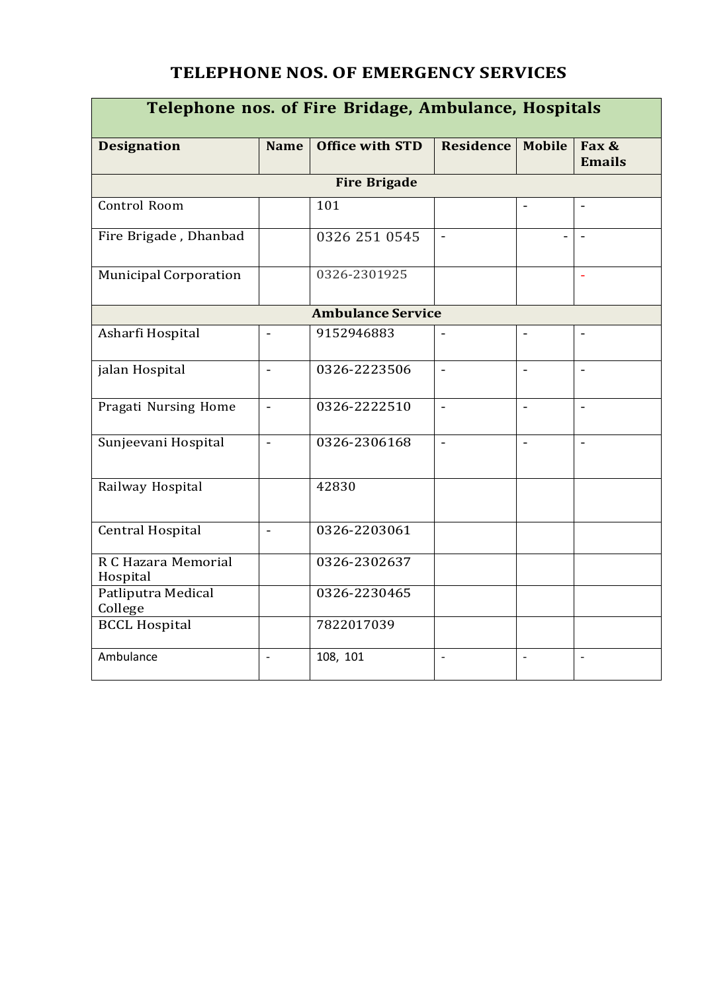#### **TELEPHONE NOS. OF EMERGENCY SERVICES**

| Telephone nos. of Fire Bridage, Ambulance, Hospitals |                          |                          |                          |                          |                          |  |  |  |  |
|------------------------------------------------------|--------------------------|--------------------------|--------------------------|--------------------------|--------------------------|--|--|--|--|
| <b>Designation</b>                                   | <b>Name</b>              | <b>Office with STD</b>   | <b>Residence</b>         | <b>Mobile</b>            | Fax &<br><b>Emails</b>   |  |  |  |  |
|                                                      | <b>Fire Brigade</b>      |                          |                          |                          |                          |  |  |  |  |
| Control Room                                         |                          | 101                      |                          |                          |                          |  |  |  |  |
| Fire Brigade, Dhanbad                                |                          | 0326 251 0545            | $\overline{a}$           |                          |                          |  |  |  |  |
| <b>Municipal Corporation</b>                         |                          | 0326-2301925             |                          |                          | $\bar{a}$                |  |  |  |  |
|                                                      |                          | <b>Ambulance Service</b> |                          |                          |                          |  |  |  |  |
| Asharfi Hospital                                     | $\overline{a}$           | 9152946883               | $\blacksquare$           | $\blacksquare$           | $\frac{1}{2}$            |  |  |  |  |
| jalan Hospital                                       | $\blacksquare$           | 0326-2223506             | $\overline{a}$           | $\overline{a}$           | $\blacksquare$           |  |  |  |  |
| Pragati Nursing Home                                 | $\blacksquare$           | 0326-2222510             | $\overline{\phantom{a}}$ | $\blacksquare$           | $\overline{\phantom{a}}$ |  |  |  |  |
| Sunjeevani Hospital                                  | $\overline{\phantom{a}}$ | 0326-2306168             | $\overline{\phantom{a}}$ | $\blacksquare$           | $\blacksquare$           |  |  |  |  |
| Railway Hospital                                     |                          | 42830                    |                          |                          |                          |  |  |  |  |
| <b>Central Hospital</b>                              | $\overline{\phantom{a}}$ | 0326-2203061             |                          |                          |                          |  |  |  |  |
| R C Hazara Memorial<br>Hospital                      |                          | 0326-2302637             |                          |                          |                          |  |  |  |  |
| Patliputra Medical<br>College                        |                          | 0326-2230465             |                          |                          |                          |  |  |  |  |
| <b>BCCL Hospital</b>                                 |                          | 7822017039               |                          |                          |                          |  |  |  |  |
| Ambulance                                            | $\overline{a}$           | 108, 101                 | $\blacksquare$           | $\overline{\phantom{a}}$ | $\frac{1}{2}$            |  |  |  |  |